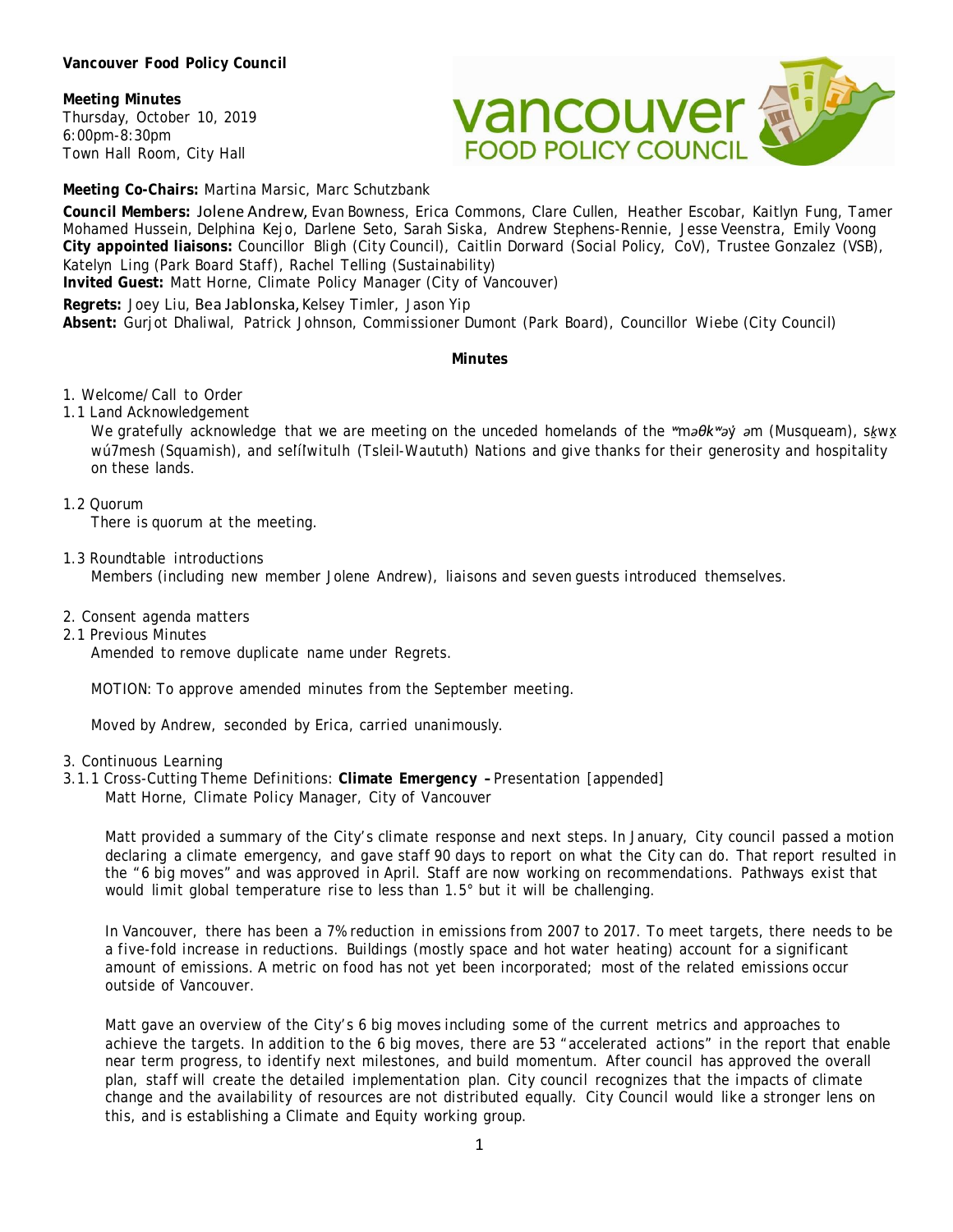**Vancouver Food Policy Council** 

# **Meeting Minutes**

Thursday, October 10, 2019 6:00pm-8:30pm Town Hall Room, City Hall



**Meeting Co-Chairs:** Martina Marsic, Marc Schutzbank

**Council Members:** Jolene Andrew, Evan Bowness, Erica Commons, Clare Cullen, Heather Escobar, Kaitlyn Fung, Tamer Mohamed Hussein, Delphina Kejo, Darlene Seto, Sarah Siska, Andrew Stephens-Rennie, Jesse Veenstra, Emily Voong **City appointed liaisons:** Councillor Bligh (City Council), Caitlin Dorward (Social Policy, CoV), Trustee Gonzalez (VSB), Katelyn Ling (Park Board Staff), Rachel Telling (Sustainability)

**Invited Guest:** Matt Horne, Climate Policy Manager (City of Vancouver)

**Regrets:** Joey Liu, Bea Jablonska, Kelsey Timler, Jason Yip

**Absent:** Gurjot Dhaliwal, Patrick Johnson, Commissioner Dumont (Park Board), Councillor Wiebe (City Council)

## **Minutes**

1. Welcome/Call to Order

1.1 Land Acknowledgement

We gratefully acknowledge that we are meeting on the unceded homelands of the *ʷməθkʷəy̓ əm* (Musqueam), *sḵwx̱ wú7mesh* (Squamish), and *sel̓íl̓witulh* (Tsleil-Waututh) Nations and give thanks for their generosity and hospitality on these lands.

#### 1.2 Quorum

There is quorum at the meeting.

1.3 Roundtable introductions

Members (including new member Jolene Andrew), liaisons and seven guests introduced themselves.

- 2. Consent agenda matters
- 2.1 Previous Minutes

Amended to remove duplicate name under Regrets.

MOTION: To approve amended minutes from the September meeting.

Moved by Andrew, seconded by Erica, carried unanimously.

- 3. Continuous Learning
- 3.1.1 Cross-Cutting Theme Definitions: **Climate Emergency –** Presentation [appended] Matt Horne, *Climate Policy Manager, City of Vancouver*

Matt provided a summary of the City's climate response and next steps. In January, City council passed a motion declaring a climate emergency, and gave staff 90 days to report on what the City can do. That report resulted in the "6 big moves" and was approved in April. Staff are now working on recommendations. Pathways exist that would limit global temperature rise to less than 1.5° but it will be challenging.

In Vancouver, there has been a 7% reduction in emissions from 2007 to 2017. To meet targets, there needs to be a five-fold increase in reductions. Buildings (mostly space and hot water heating) account for a significant amount of emissions. A metric on food has not yet been incorporated; most of the related emissions occur outside of Vancouver.

Matt gave an overview of the City's 6 big moves including some of the current metrics and approaches to achieve the targets. In addition to the 6 big moves, there are 53 "accelerated actions" in the report that enable near term progress, to identify next milestones, and build momentum. After council has approved the overall plan, staff will create the detailed implementation plan. City council recognizes that the impacts of climate change and the availability of resources are not distributed equally. City Council would like a stronger lens on this, and is establishing a Climate and Equity working group.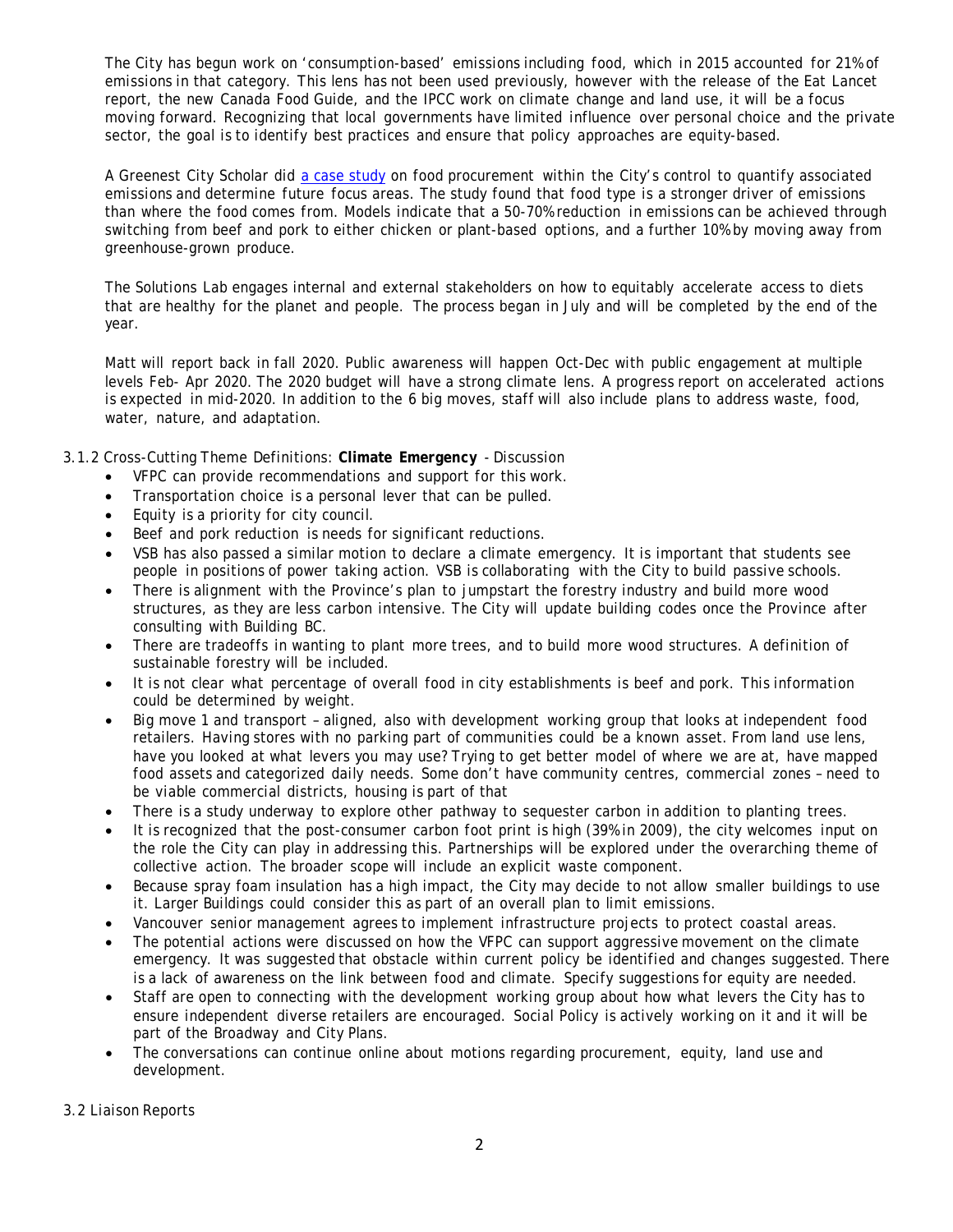The City has begun work on 'consumption-based' emissions including food, which in 2015 accounted for 21% of emissions in that category. This lens has not been used previously, however with the release of the Eat Lancet report, the new Canada Food Guide, and the IPCC work on climate change and land use, it will be a focus moving forward. Recognizing that local governments have limited influence over personal choice and the private sector, the goal is to identify best practices and ensure that policy approaches are equity-based.

A Greenest City Scholar did [a case study](https://sustain.ubc.ca/about/resources/estimating-greenhouse-gas-emissions-food-case-study-city-vancouvers-food-procurement) on food procurement within the City's control to quantify associated emissions and determine future focus areas. The study found that food type is a stronger driver of emissions than where the food comes from. Models indicate that a 50-70% reduction in emissions can be achieved through switching from beef and pork to either chicken or plant-based options, and a further 10% by moving away from greenhouse-grown produce.

The Solutions Lab engages internal and external stakeholders on how to equitably accelerate access to diets that are healthy for the planet and people. The process began in July and will be completed by the end of the year.

Matt will report back in fall 2020. Public awareness will happen Oct-Dec with public engagement at multiple levels Feb- Apr 2020. The 2020 budget will have a strong climate lens. A progress report on accelerated actions is expected in mid-2020. In addition to the 6 big moves, staff will also include plans to address waste, food, water, nature, and adaptation.

- 3.1.2 Cross-Cutting Theme Definitions: **Climate Emergency** Discussion
	- VFPC can provide recommendations and support for this work.
	- Transportation choice is a personal lever that can be pulled.
	- Equity is a priority for city council.
	- Beef and pork reduction is needs for significant reductions.
	- VSB has also passed a similar motion to declare a climate emergency. It is important that students see people in positions of power taking action. VSB is collaborating with the City to build passive schools.
	- There is alignment with the Province's plan to jumpstart the forestry industry and build more wood structures, as they are less carbon intensive. The City will update building codes once the Province after consulting with Building BC.
	- There are tradeoffs in wanting to plant more trees, and to build more wood structures. A definition of sustainable forestry will be included.
	- It is not clear what percentage of overall food in city establishments is beef and pork. This information could be determined by weight.
	- Big move 1 and transport aligned, also with development working group that looks at independent food retailers. Having stores with no parking part of communities could be a known asset. From land use lens, have you looked at what levers you may use? Trying to get better model of where we are at, have mapped food assets and categorized daily needs. Some don't have community centres, commercial zones – need to be viable commercial districts, housing is part of that
	- There is a study underway to explore other pathway to sequester carbon in addition to planting trees.
	- It is recognized that the post-consumer carbon foot print is high (39% in 2009), the city welcomes input on the role the City can play in addressing this. Partnerships will be explored under the overarching theme of collective action. The broader scope will include an explicit waste component.
	- Because spray foam insulation has a high impact, the City may decide to not allow smaller buildings to use it. Larger Buildings could consider this as part of an overall plan to limit emissions.
	- Vancouver senior management agrees to implement infrastructure projects to protect coastal areas.
	- The potential actions were discussed on how the VFPC can support aggressive movement on the climate emergency. It was suggested that obstacle within current policy be identified and changes suggested. There is a lack of awareness on the link between food and climate. Specify suggestions for equity are needed.
	- Staff are open to connecting with the development working group about how what levers the City has to ensure independent diverse retailers are encouraged. Social Policy is actively working on it and it will be part of the Broadway and City Plans.
	- The conversations can continue online about motions regarding procurement, equity, land use and development.

3.2 Liaison Reports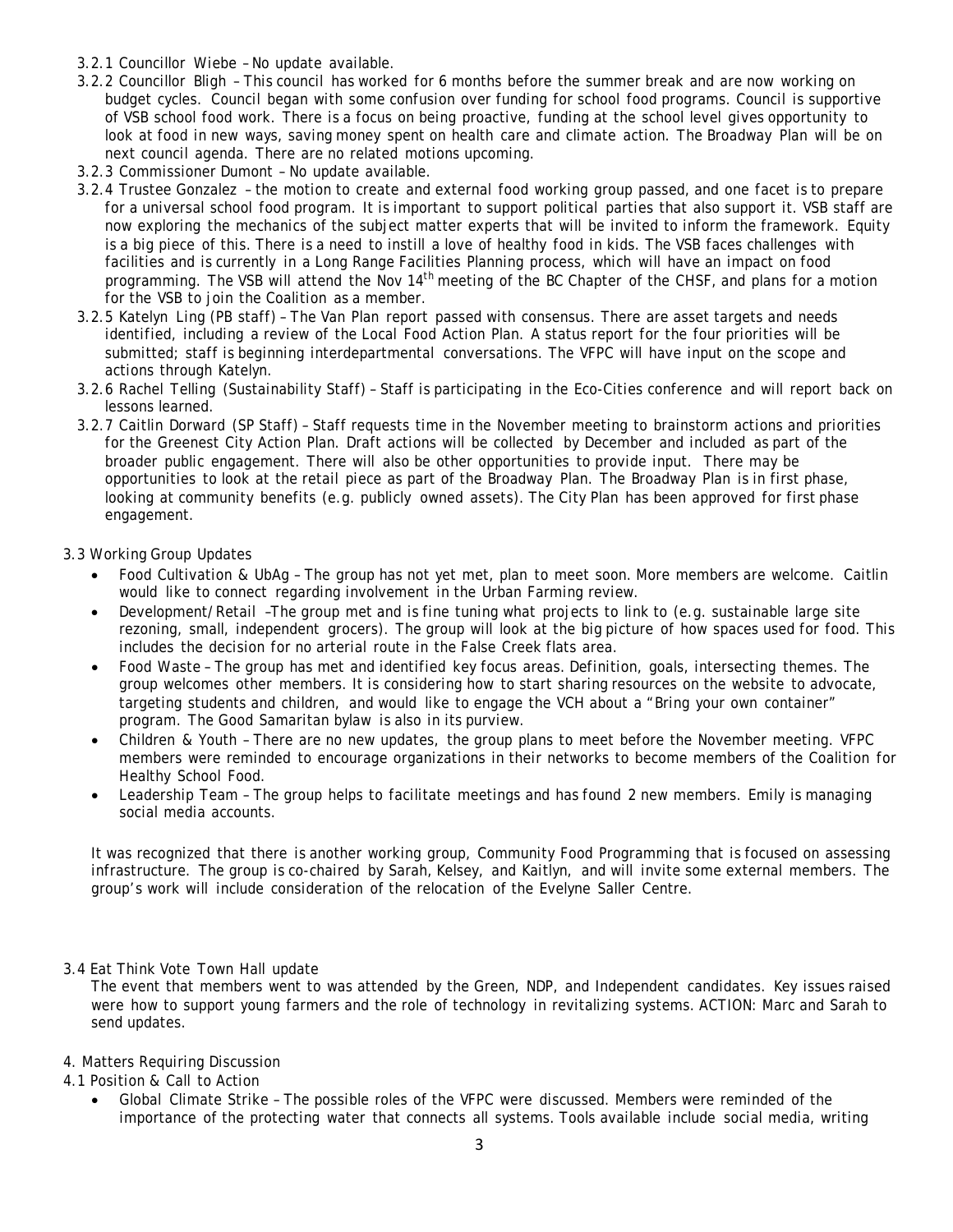- 3.2.1 Councillor Wiebe No update available.
- 3.2.2 Councillor Bligh This council has worked for 6 months before the summer break and are now working on budget cycles. Council began with some confusion over funding for school food programs. Council is supportive of VSB school food work. There is a focus on being proactive, funding at the school level gives opportunity to look at food in new ways, saving money spent on health care and climate action. The Broadway Plan will be on next council agenda. There are no related motions upcoming.
- 3.2.3 Commissioner Dumont No update available.
- 3.2.4 Trustee Gonzalez the motion to create and external food working group passed, and one facet is to prepare for a universal school food program. It is important to support political parties that also support it. VSB staff are now exploring the mechanics of the subject matter experts that will be invited to inform the framework. Equity is a big piece of this. There is a need to instill a love of healthy food in kids. The VSB faces challenges with facilities and is currently in a Long Range Facilities Planning process, which will have an impact on food programming. The VSB will attend the Nov 14<sup>th</sup> meeting of the BC Chapter of the CHSF, and plans for a motion for the VSB to join the Coalition as a member.
- 3.2.5 Katelyn Ling (PB staff) The Van Plan report passed with consensus. There are asset targets and needs identified, including a review of the Local Food Action Plan. A status report for the four priorities will be submitted; staff is beginning interdepartmental conversations. The VFPC will have input on the scope and actions through Katelyn.
- 3.2.6 Rachel Telling (Sustainability Staff) Staff is participating in the Eco-Cities conference and will report back on lessons learned.
- 3.2.7 Caitlin Dorward (SP Staff) Staff requests time in the November meeting to brainstorm actions and priorities for the Greenest City Action Plan. Draft actions will be collected by December and included as part of the broader public engagement. There will also be other opportunities to provide input. There may be opportunities to look at the retail piece as part of the Broadway Plan. The Broadway Plan is in first phase, looking at community benefits (e.g. publicly owned assets). The City Plan has been approved for first phase engagement.

## 3.3 Working Group Updates

- Food Cultivation & UbAg The group has not yet met, plan to meet soon. More members are welcome. Caitlin would like to connect regarding involvement in the Urban Farming review.
- Development/Retail -The group met and is fine tuning what projects to link to (e.g. sustainable large site rezoning, small, independent grocers). The group will look at the big picture of how spaces used for food. This includes the decision for no arterial route in the False Creek flats area.
- Food Waste The group has met and identified key focus areas. Definition, goals, intersecting themes. The group welcomes other members. It is considering how to start sharing resources on the website to advocate, targeting students and children, and would like to engage the VCH about a "Bring your own container" program. The Good Samaritan bylaw is also in its purview.
- Children & Youth There are no new updates, the group plans to meet before the November meeting. VFPC members were reminded to encourage organizations in their networks to become members of the Coalition for Healthy School Food.
- Leadership Team The group helps to facilitate meetings and has found 2 new members. Emily is managing social media accounts.

It was recognized that there is another working group, Community Food Programming that is focused on assessing infrastructure. The group is co-chaired by Sarah, Kelsey, and Kaitlyn, and will invite some external members. The group's work will include consideration of the relocation of the Evelyne Saller Centre.

#### 3.4 Eat Think Vote Town Hall update

The event that members went to was attended by the Green, NDP, and Independent candidates. Key issues raised were how to support young farmers and the role of technology in revitalizing systems. ACTION: Marc and Sarah to send updates.

#### 4. Matters Requiring Discussion

#### 4.1 Position & Call to Action

• Global Climate Strike – The possible roles of the VFPC were discussed. Members were reminded of the importance of the protecting water that connects all systems. Tools available include social media, writing